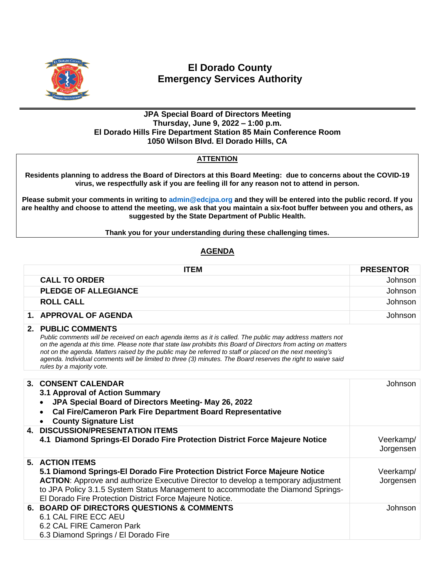

## **El Dorado County Emergency Services Authority**

## **JPA Special Board of Directors Meeting Thursday, June 9, 2022 – 1:00 p.m. El Dorado Hills Fire Department Station 85 Main Conference Room 1050 Wilson Blvd. El Dorado Hills, CA**

## **ATTENTION**

**Residents planning to address the Board of Directors at this Board Meeting: due to concerns about the COVID-19 virus, we respectfully ask if you are feeling ill for any reason not to attend in person.**

**Please submit your comments in writing to [admin@edcjpa.org](mailto:admin@edcjpa.com) and they will be entered into the public record. If you are healthy and choose to attend the meeting, we ask that you maintain a six-foot buffer between you and others, as suggested by the State Department of Public Health.**

**Thank you for your understanding during these challenging times.**

## **AGENDA**

| <b>ITEM</b>                                                                                                                                                                                                                                                                                                                                                                                                                                                                                                 | <b>PRESENTOR</b>       |
|-------------------------------------------------------------------------------------------------------------------------------------------------------------------------------------------------------------------------------------------------------------------------------------------------------------------------------------------------------------------------------------------------------------------------------------------------------------------------------------------------------------|------------------------|
| <b>CALL TO ORDER</b>                                                                                                                                                                                                                                                                                                                                                                                                                                                                                        | Johnson                |
| <b>PLEDGE OF ALLEGIANCE</b>                                                                                                                                                                                                                                                                                                                                                                                                                                                                                 | Johnson                |
| <b>ROLL CALL</b>                                                                                                                                                                                                                                                                                                                                                                                                                                                                                            | Johnson                |
| 1. APPROVAL OF AGENDA                                                                                                                                                                                                                                                                                                                                                                                                                                                                                       | Johnson                |
| 2. PUBLIC COMMENTS<br>Public comments will be received on each agenda items as it is called. The public may address matters not<br>on the agenda at this time. Please note that state law prohibits this Board of Directors from acting on matters<br>not on the agenda. Matters raised by the public may be referred to staff or placed on the next meeting's<br>agenda. Individual comments will be limited to three (3) minutes. The Board reserves the right to waive said<br>rules by a majority vote. |                        |
| 3. CONSENT CALENDAR<br>3.1 Approval of Action Summary<br>JPA Special Board of Directors Meeting- May 26, 2022<br><b>Cal Fire/Cameron Park Fire Department Board Representative</b><br><b>County Signature List</b>                                                                                                                                                                                                                                                                                          | Johnson                |
| <b>4. DISCUSSION/PRESENTATION ITEMS</b><br>4.1 Diamond Springs-El Dorado Fire Protection District Force Majeure Notice                                                                                                                                                                                                                                                                                                                                                                                      | Veerkamp/<br>Jorgensen |
| 5. ACTION ITEMS<br>5.1 Diamond Springs-El Dorado Fire Protection District Force Majeure Notice<br><b>ACTION:</b> Approve and authorize Executive Director to develop a temporary adjustment<br>to JPA Policy 3.1.5 System Status Management to accommodate the Diamond Springs-<br>El Dorado Fire Protection District Force Majeure Notice.                                                                                                                                                                 | Veerkamp/<br>Jorgensen |
| 6. BOARD OF DIRECTORS QUESTIONS & COMMENTS<br>6.1 CAL FIRE ECC AEU<br>6.2 CAL FIRE Cameron Park<br>6.3 Diamond Springs / El Dorado Fire                                                                                                                                                                                                                                                                                                                                                                     | Johnson                |